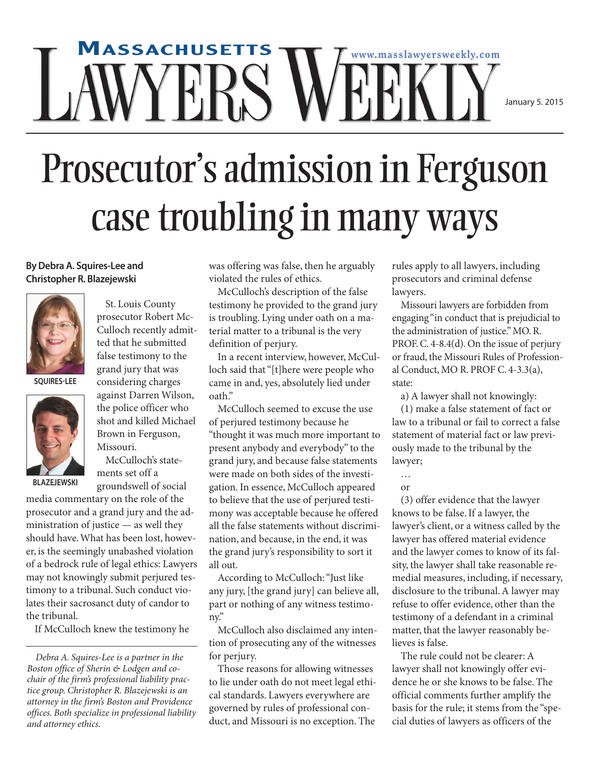## **MASSACHUSETTS www.masslawyersweekly.com** ERS '

January 5. 2015

## Prosecutor' s admission in Ferguson case troubling in many ways

## **ByDebra A. Squires-Lee and Christopher R. Blazejewski**



**SQUIRES-LEE**



prosecutor Robert Mc-Culloch recently admitted that he submitted false testimony to the grand jury that was considering charges

St. Louis County

against Darren Wilson, the police officer who shot and killed Michael Brown in Ferguson, Missouri. McCulloch's state-

ments set off a groundswell of social **BLAZEJEWSKI**

media commentary on the role of the prosecutor and a grand jury and the administration of justice — as well they should have.What has been lost, however, is the seemingly unabashed violation of a bedrock rule of legal ethics: Lawyers may not knowingly submit perjured testimony to a tribunal. Such conduct violates their sacrosanct duty of candor to the tribunal.

If McCulloch knew the testimony he

was offering was false, then he arguably violated the rules of ethics.

McCulloch's description of the false testimony he provided to the grand jury is troubling. Lying under oath on a material matter to a tribunal is the very definition of perjury.

In a recent interview, however, McCulloch said that"[t]here were people who came in and, yes, absolutely lied under oath."

McCulloch seemed to excuse the use of perjured testimony because he "thought it was much more important to present anybody and everybody" to the grand jury, and because false statements were made on both sides of the investigation. In essence, McCulloch appeared to believe that the use of perjured testimony was acceptable because he offered all the false statements without discrimination, and because, in the end, it was the grand jury's responsibility to sort it all out.

According to McCulloch:"Just like any jury, [the grand jury] can believe all, part or nothing of any witness testimony."

McCulloch also disclaimed any intention of prosecuting any of the witnesses for perjury.

Those reasons for allowing witnesses to lie under oath do not meet legal ethical standards. Lawyers everywhere are governed by rules of professional conduct, and Missouri is no exception. The

rules apply to all lawyers, including prosecutors and criminal defense lawyers.

Missouri lawyers are forbidden from engaging "in conduct that is prejudicial to the administration of justice."MO.R. PROF. C. 4-8.4(d). On the issue of perjury or fraud, the Missouri Rules of Professional Conduct, MO R. PROF C. 4-3.3(a), state:

a) A lawyer shall not knowingly:

(1) make a false statement of fact or law to a tribunal or fail to correct a false statement of material fact or law previously made to the tribunal by the lawyer;

… or

(3) offer evidence that the lawyer knows to be false. If a lawyer, the lawyer's client, or a witness called by the lawyer has offered material evidence and the lawyer comes to know of its falsity, the lawyer shall take reasonable remedial measures, including, if necessary, disclosure to the tribunal.A lawyer may refuse to offer evidence, other than the testimony of a defendant in a criminal matter, that the lawyer reasonably believes is false.

The rule could not be clearer: A lawyer shall not knowingly offer evidence he or she knows to be false. The official comments further amplify the basis for the rule; it stems from the "special duties of lawyers as officers of the

*Debra A. Squires-Lee is a partner in the Boston office of Sherin & Lodgen and cochair of the firm's professional liability practice group. Christopher R. Blazejewski is an attorney in the firm's Boston and Providence offices. Both specialize in professional liability and attorney ethics.*